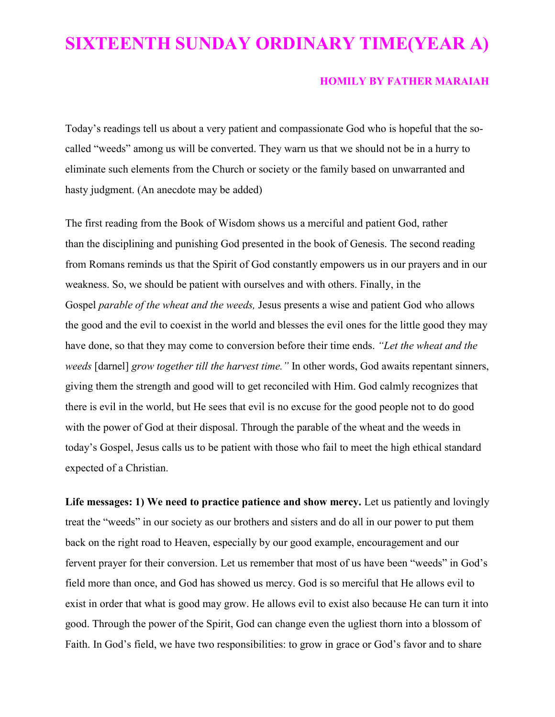## **SIXTEENTH SUNDAY ORDINARY TIME(YEAR A)**

## **HOMILY BY FATHER MARAIAH**

Today's readings tell us about a very patient and compassionate God who is hopeful that the socalled "weeds" among us will be converted. They warn us that we should not be in a hurry to eliminate such elements from the Church or society or the family based on unwarranted and hasty judgment. (An anecdote may be added)

The first reading from the Book of Wisdom shows us a merciful and patient God, rather than the disciplining and punishing God presented in the book of Genesis. The second reading from Romans reminds us that the Spirit of God constantly empowers us in our prayers and in our weakness. So, we should be patient with ourselves and with others. Finally, in the Gospel *parable of the wheat and the weeds,* Jesus presents a wise and patient God who allows the good and the evil to coexist in the world and blesses the evil ones for the little good they may have done, so that they may come to conversion before their time ends. *"Let the wheat and the weeds* [darnel] *grow together till the harvest time."* In other words, God awaits repentant sinners, giving them the strength and good will to get reconciled with Him. God calmly recognizes that there is evil in the world, but He sees that evil is no excuse for the good people not to do good with the power of God at their disposal. Through the parable of the wheat and the weeds in today's Gospel, Jesus calls us to be patient with those who fail to meet the high ethical standard expected of a Christian.

**Life messages: 1) We need to practice patience and show mercy.** Let us patiently and lovingly treat the "weeds" in our society as our brothers and sisters and do all in our power to put them back on the right road to Heaven, especially by our good example, encouragement and our fervent prayer for their conversion. Let us remember that most of us have been "weeds" in God's field more than once, and God has showed us mercy. God is so merciful that He allows evil to exist in order that what is good may grow. He allows evil to exist also because He can turn it into good. Through the power of the Spirit, God can change even the ugliest thorn into a blossom of Faith. In God's field, we have two responsibilities: to grow in grace or God's favor and to share